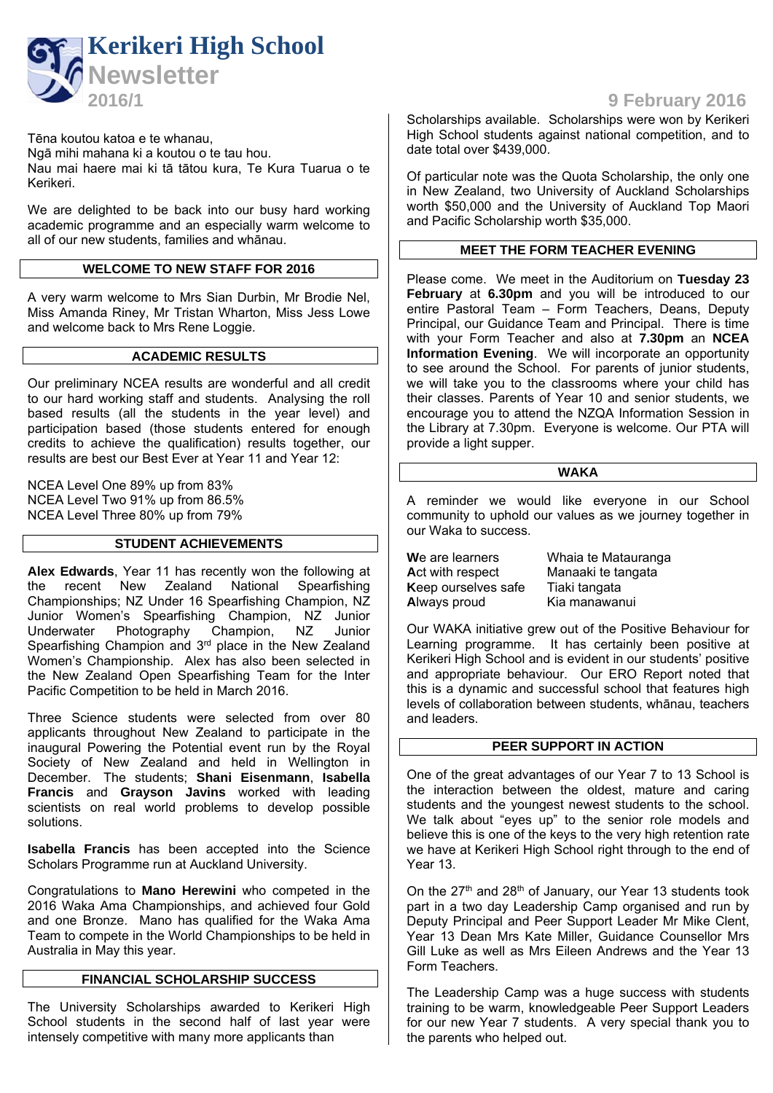

Tēna koutou katoa e te whanau,

Ngā mihi mahana ki a koutou o te tau hou. Nau mai haere mai ki tā tātou kura, Te Kura Tuarua o te Kerikeri.

We are delighted to be back into our busy hard working academic programme and an especially warm welcome to all of our new students, families and whānau.

## **WELCOME TO NEW STAFF FOR 2016**

A very warm welcome to Mrs Sian Durbin, Mr Brodie Nel, Miss Amanda Riney, Mr Tristan Wharton, Miss Jess Lowe and welcome back to Mrs Rene Loggie.

### **ACADEMIC RESULTS**

Our preliminary NCEA results are wonderful and all credit to our hard working staff and students. Analysing the roll based results (all the students in the year level) and participation based (those students entered for enough credits to achieve the qualification) results together, our results are best our Best Ever at Year 11 and Year 12:

NCEA Level One 89% up from 83% NCEA Level Two 91% up from 86.5% NCEA Level Three 80% up from 79%

## **STUDENT ACHIEVEMENTS**

**Alex Edwards**, Year 11 has recently won the following at the recent New Zealand National Spearfishing Championships; NZ Under 16 Spearfishing Champion, NZ Junior Women's Spearfishing Champion, NZ Junior Underwater Photography Champion, NZ Junior Spearfishing Champion and 3<sup>rd</sup> place in the New Zealand Women's Championship. Alex has also been selected in the New Zealand Open Spearfishing Team for the Inter Pacific Competition to be held in March 2016.

Three Science students were selected from over 80 applicants throughout New Zealand to participate in the inaugural Powering the Potential event run by the Royal Society of New Zealand and held in Wellington in December. The students; **Shani Eisenmann**, **Isabella Francis** and **Grayson Javins** worked with leading scientists on real world problems to develop possible solutions.

**Isabella Francis** has been accepted into the Science Scholars Programme run at Auckland University.

Congratulations to **Mano Herewini** who competed in the 2016 Waka Ama Championships, and achieved four Gold and one Bronze. Mano has qualified for the Waka Ama Team to compete in the World Championships to be held in Australia in May this year.

## **FINANCIAL SCHOLARSHIP SUCCESS**

The University Scholarships awarded to Kerikeri High School students in the second half of last year were intensely competitive with many more applicants than

**2016/1 9 February 2016**

Scholarships available. Scholarships were won by Kerikeri High School students against national competition, and to date total over \$439,000.

Of particular note was the Quota Scholarship, the only one in New Zealand, two University of Auckland Scholarships worth \$50,000 and the University of Auckland Top Maori and Pacific Scholarship worth \$35,000.

## **MEET THE FORM TEACHER EVENING**

Please come. We meet in the Auditorium on **Tuesday 23 February** at **6.30pm** and you will be introduced to our entire Pastoral Team – Form Teachers, Deans, Deputy Principal, our Guidance Team and Principal. There is time with your Form Teacher and also at **7.30pm** an **NCEA Information Evening**. We will incorporate an opportunity to see around the School. For parents of junior students, we will take you to the classrooms where your child has their classes. Parents of Year 10 and senior students, we encourage you to attend the NZQA Information Session in the Library at 7.30pm. Everyone is welcome. Our PTA will provide a light supper.

#### **WAKA**

A reminder we would like everyone in our School community to uphold our values as we journey together in our Waka to success.

**W**e are learners Whaia te Matauranga Act with respect Manaaki te tangata **K**eep ourselves safe Tiaki tangata **A**lways proud Kia manawanui

Our WAKA initiative grew out of the Positive Behaviour for Learning programme. It has certainly been positive at Kerikeri High School and is evident in our students' positive and appropriate behaviour. Our ERO Report noted that this is a dynamic and successful school that features high levels of collaboration between students, whānau, teachers and leaders.

## **PEER SUPPORT IN ACTION**

One of the great advantages of our Year 7 to 13 School is the interaction between the oldest, mature and caring students and the youngest newest students to the school. We talk about "eyes up" to the senior role models and believe this is one of the keys to the very high retention rate we have at Kerikeri High School right through to the end of Year 13.

On the 27<sup>th</sup> and 28<sup>th</sup> of January, our Year 13 students took part in a two day Leadership Camp organised and run by Deputy Principal and Peer Support Leader Mr Mike Clent, Year 13 Dean Mrs Kate Miller, Guidance Counsellor Mrs Gill Luke as well as Mrs Eileen Andrews and the Year 13 Form Teachers.

The Leadership Camp was a huge success with students training to be warm, knowledgeable Peer Support Leaders for our new Year 7 students. A very special thank you to the parents who helped out.